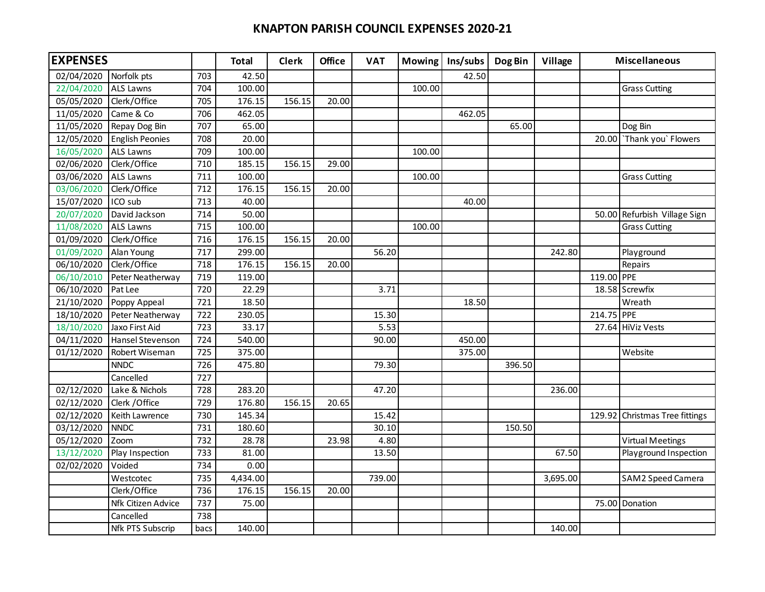## **KNAPTON PARISH COUNCIL EXPENSES 2020-21**

| <b>EXPENSES</b> |                    |      | <b>Total</b> | <b>Clerk</b> | <b>Office</b> | <b>VAT</b> | <b>Mowing</b> | Ins/subs | Dog Bin | Village  | <b>Miscellaneous</b> |                                |
|-----------------|--------------------|------|--------------|--------------|---------------|------------|---------------|----------|---------|----------|----------------------|--------------------------------|
| 02/04/2020      | Norfolk pts        | 703  | 42.50        |              |               |            |               | 42.50    |         |          |                      |                                |
| 22/04/2020      | <b>ALS Lawns</b>   | 704  | 100.00       |              |               |            | 100.00        |          |         |          |                      | <b>Grass Cutting</b>           |
| 05/05/2020      | Clerk/Office       | 705  | 176.15       | 156.15       | 20.00         |            |               |          |         |          |                      |                                |
| 11/05/2020      | Came & Co          | 706  | 462.05       |              |               |            |               | 462.05   |         |          |                      |                                |
| 11/05/2020      | Repay Dog Bin      | 707  | 65.00        |              |               |            |               |          | 65.00   |          |                      | Dog Bin                        |
| 12/05/2020      | English Peonies    | 708  | 20.00        |              |               |            |               |          |         |          |                      | 20.00 Thank you' Flowers       |
| 16/05/2020      | <b>ALS Lawns</b>   | 709  | 100.00       |              |               |            | 100.00        |          |         |          |                      |                                |
| 02/06/2020      | Clerk/Office       | 710  | 185.15       | 156.15       | 29.00         |            |               |          |         |          |                      |                                |
| 03/06/2020      | <b>ALS Lawns</b>   | 711  | 100.00       |              |               |            | 100.00        |          |         |          |                      | <b>Grass Cutting</b>           |
| 03/06/2020      | Clerk/Office       | 712  | 176.15       | 156.15       | 20.00         |            |               |          |         |          |                      |                                |
| 15/07/2020      | ICO sub            | 713  | 40.00        |              |               |            |               | 40.00    |         |          |                      |                                |
| 20/07/2020      | David Jackson      | 714  | 50.00        |              |               |            |               |          |         |          |                      | 50.00 Refurbish Village Sign   |
| 11/08/2020      | <b>ALS Lawns</b>   | 715  | 100.00       |              |               |            | 100.00        |          |         |          |                      | <b>Grass Cutting</b>           |
| 01/09/2020      | Clerk/Office       | 716  | 176.15       | 156.15       | 20.00         |            |               |          |         |          |                      |                                |
| 01/09/2020      | Alan Young         | 717  | 299.00       |              |               | 56.20      |               |          |         | 242.80   |                      | Playground                     |
| 06/10/2020      | Clerk/Office       | 718  | 176.15       | 156.15       | 20.00         |            |               |          |         |          |                      | Repairs                        |
| 06/10/2010      | Peter Neatherway   | 719  | 119.00       |              |               |            |               |          |         |          | 119.00 PPE           |                                |
| 06/10/2020      | Pat Lee            | 720  | 22.29        |              |               | 3.71       |               |          |         |          |                      | 18.58 Screwfix                 |
| 21/10/2020      | Poppy Appeal       | 721  | 18.50        |              |               |            |               | 18.50    |         |          |                      | Wreath                         |
| 18/10/2020      | Peter Neatherway   | 722  | 230.05       |              |               | 15.30      |               |          |         |          | 214.75 PPE           |                                |
| 18/10/2020      | Jaxo First Aid     | 723  | 33.17        |              |               | 5.53       |               |          |         |          |                      | 27.64 HiViz Vests              |
| 04/11/2020      | Hansel Stevenson   | 724  | 540.00       |              |               | 90.00      |               | 450.00   |         |          |                      |                                |
| 01/12/2020      | Robert Wiseman     | 725  | 375.00       |              |               |            |               | 375.00   |         |          |                      | Website                        |
|                 | <b>NNDC</b>        | 726  | 475.80       |              |               | 79.30      |               |          | 396.50  |          |                      |                                |
|                 | Cancelled          | 727  |              |              |               |            |               |          |         |          |                      |                                |
| 02/12/2020      | Lake & Nichols     | 728  | 283.20       |              |               | 47.20      |               |          |         | 236.00   |                      |                                |
| 02/12/2020      | Clerk / Office     | 729  | 176.80       | 156.15       | 20.65         |            |               |          |         |          |                      |                                |
| 02/12/2020      | Keith Lawrence     | 730  | 145.34       |              |               | 15.42      |               |          |         |          |                      | 129.92 Christmas Tree fittings |
| 03/12/2020      | <b>NNDC</b>        | 731  | 180.60       |              |               | 30.10      |               |          | 150.50  |          |                      |                                |
| 05/12/2020      | Zoom               | 732  | 28.78        |              | 23.98         | 4.80       |               |          |         |          |                      | <b>Virtual Meetings</b>        |
| 13/12/2020      | Play Inspection    | 733  | 81.00        |              |               | 13.50      |               |          |         | 67.50    |                      | Playground Inspection          |
| 02/02/2020      | Voided             | 734  | 0.00         |              |               |            |               |          |         |          |                      |                                |
|                 | Westcotec          | 735  | 4,434.00     |              |               | 739.00     |               |          |         | 3,695.00 |                      | SAM2 Speed Camera              |
|                 | Clerk/Office       | 736  | 176.15       | 156.15       | 20.00         |            |               |          |         |          |                      |                                |
|                 | Nfk Citizen Advice | 737  | 75.00        |              |               |            |               |          |         |          |                      | 75.00 Donation                 |
|                 | Cancelled          | 738  |              |              |               |            |               |          |         |          |                      |                                |
|                 | Nfk PTS Subscrip   | bacs | 140.00       |              |               |            |               |          |         | 140.00   |                      |                                |